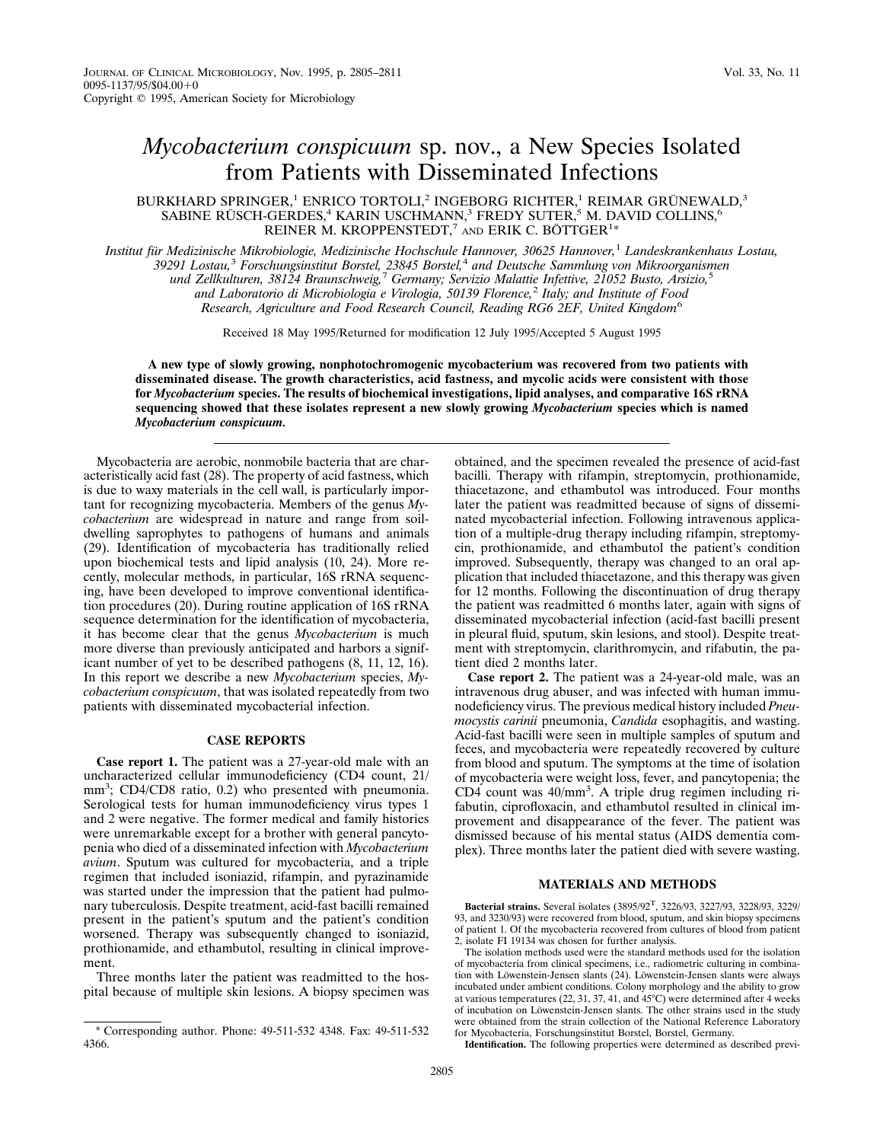# *Mycobacterium conspicuum* sp. nov., a New Species Isolated from Patients with Disseminated Infections

BURKHARD SPRINGER,<sup>1</sup> ENRICO TORTOLI,<sup>2</sup> INGEBORG RICHTER,<sup>1</sup> REIMAR GRÜNEWALD,<sup>3</sup> SABINE RÜSCH-GERDES,<sup>4</sup> KARIN USCHMANN,<sup>3</sup> FREDY SUTER,<sup>5</sup> M. DAVID COLLINS,<sup>6</sup> REINER M. KROPPENSTEDT,<sup>7</sup> AND ERIK C. BÖTTGER<sup>1\*</sup>

*Institut fu¨r Medizinische Mikrobiologie, Medizinische Hochschule Hannover, 30625 Hannover,*<sup>1</sup> *Landeskrankenhaus Lostau, 39291 Lostau,*<sup>3</sup> *Forschungsinstitut Borstel, 23845 Borstel,*<sup>4</sup> *and Deutsche Sammlung von Mikroorganismen und Zellkulturen, 38124 Braunschweig,*<sup>7</sup> *Germany; Servizio Malattie Infettive, 21052 Busto, Arsizio,*<sup>5</sup> *and Laboratorio di Microbiologia e Virologia, 50139 Florence,*<sup>2</sup> *Italy; and Institute of Food Research, Agriculture and Food Research Council, Reading RG6 2EF, United Kingdom*<sup>6</sup>

Received 18 May 1995/Returned for modification 12 July 1995/Accepted 5 August 1995

**A new type of slowly growing, nonphotochromogenic mycobacterium was recovered from two patients with disseminated disease. The growth characteristics, acid fastness, and mycolic acids were consistent with those for** *Mycobacterium* **species. The results of biochemical investigations, lipid analyses, and comparative 16S rRNA sequencing showed that these isolates represent a new slowly growing** *Mycobacterium* **species which is named** *Mycobacterium conspicuum.*

Mycobacteria are aerobic, nonmobile bacteria that are characteristically acid fast (28). The property of acid fastness, which is due to waxy materials in the cell wall, is particularly important for recognizing mycobacteria. Members of the genus *Mycobacterium* are widespread in nature and range from soildwelling saprophytes to pathogens of humans and animals (29). Identification of mycobacteria has traditionally relied upon biochemical tests and lipid analysis (10, 24). More recently, molecular methods, in particular, 16S rRNA sequencing, have been developed to improve conventional identification procedures (20). During routine application of 16S rRNA sequence determination for the identification of mycobacteria, it has become clear that the genus *Mycobacterium* is much more diverse than previously anticipated and harbors a significant number of yet to be described pathogens (8, 11, 12, 16). In this report we describe a new *Mycobacterium* species, *Mycobacterium conspicuum*, that was isolated repeatedly from two patients with disseminated mycobacterial infection.

## **CASE REPORTS**

**Case report 1.** The patient was a 27-year-old male with an uncharacterized cellular immunodeficiency (CD4 count, 21/ mm<sup>3</sup>; CD4/CD8 ratio, 0.2) who presented with pneumonia. Serological tests for human immunodeficiency virus types 1 and 2 were negative. The former medical and family histories were unremarkable except for a brother with general pancytopenia who died of a disseminated infection with *Mycobacterium avium*. Sputum was cultured for mycobacteria, and a triple regimen that included isoniazid, rifampin, and pyrazinamide was started under the impression that the patient had pulmonary tuberculosis. Despite treatment, acid-fast bacilli remained present in the patient's sputum and the patient's condition worsened. Therapy was subsequently changed to isoniazid, prothionamide, and ethambutol, resulting in clinical improvement.

Three months later the patient was readmitted to the hospital because of multiple skin lesions. A biopsy specimen was obtained, and the specimen revealed the presence of acid-fast bacilli. Therapy with rifampin, streptomycin, prothionamide, thiacetazone, and ethambutol was introduced. Four months later the patient was readmitted because of signs of disseminated mycobacterial infection. Following intravenous application of a multiple-drug therapy including rifampin, streptomycin, prothionamide, and ethambutol the patient's condition improved. Subsequently, therapy was changed to an oral application that included thiacetazone, and this therapy was given for 12 months. Following the discontinuation of drug therapy the patient was readmitted 6 months later, again with signs of disseminated mycobacterial infection (acid-fast bacilli present in pleural fluid, sputum, skin lesions, and stool). Despite treatment with streptomycin, clarithromycin, and rifabutin, the patient died 2 months later.

**Case report 2.** The patient was a 24-year-old male, was an intravenous drug abuser, and was infected with human immunodeficiency virus. The previous medical history included *Pneumocystis carinii* pneumonia, *Candida* esophagitis, and wasting. Acid-fast bacilli were seen in multiple samples of sputum and feces, and mycobacteria were repeatedly recovered by culture from blood and sputum. The symptoms at the time of isolation of mycobacteria were weight loss, fever, and pancytopenia; the CD4 count was 40/mm<sup>3</sup> . A triple drug regimen including rifabutin, ciprofloxacin, and ethambutol resulted in clinical improvement and disappearance of the fever. The patient was dismissed because of his mental status (AIDS dementia complex). Three months later the patient died with severe wasting.

## **MATERIALS AND METHODS**

**Identification.** The following properties were determined as described previ-

<sup>\*</sup> Corresponding author. Phone: 49-511-532 4348. Fax: 49-511-532 4366.

**Bacterial strains.** Several isolates (3895/92T, 3226/93, 3227/93, 3228/93, 3229/ 93, and 3230/93) were recovered from blood, sputum, and skin biopsy specimens of patient 1. Of the mycobacteria recovered from cultures of blood from patient 2, isolate FI 19134 was chosen for further analysis.

The isolation methods used were the standard methods used for the isolation of mycobacteria from clinical specimens, i.e., radiometric culturing in combination with Löwenstein-Jensen slants (24). Löwenstein-Jensen slants were always incubated under ambient conditions. Colony morphology and the ability to grow at various temperatures (22, 31, 37, 41, and  $45^{\circ}$ C) were determined after 4 weeks of incubation on Löwenstein-Jensen slants. The other strains used in the study were obtained from the strain collection of the National Reference Laboratory for Mycobacteria, Forschungsinstitut Borstel, Borstel, Germany.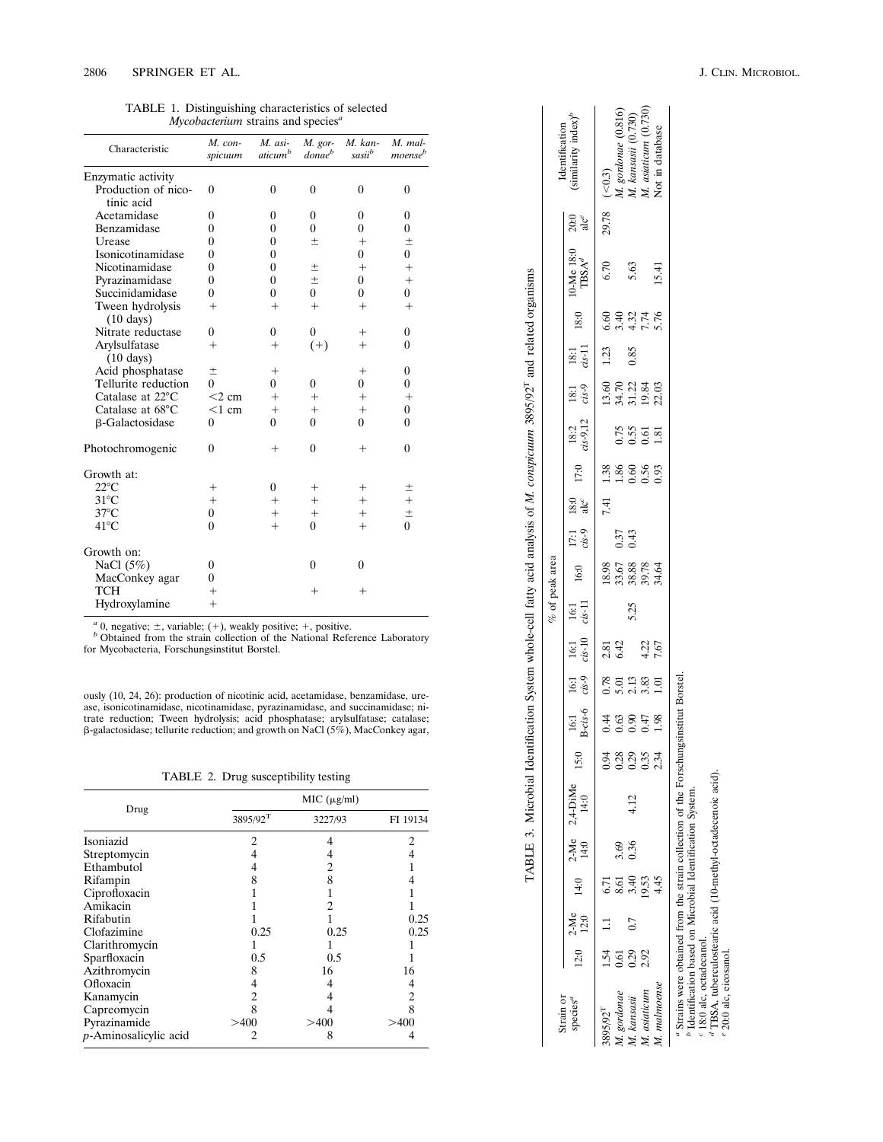TABLE 1. Distinguishing characteristics of selected *Mycobacterium* strains and species *a*

| Characteristic                          | M. con-<br>spicuum | $M.$ asi-<br>aticum <sup>b</sup> | M. gor-<br><i>donae</i> <sup>b</sup> | $M.$ kan-<br>sasii <sup>b</sup> | M. mal-<br>moense <sup>b</sup> |
|-----------------------------------------|--------------------|----------------------------------|--------------------------------------|---------------------------------|--------------------------------|
| Enzymatic activity                      |                    |                                  |                                      |                                 |                                |
| Production of nico-                     | $\theta$           | $\theta$                         | $\theta$                             | $\theta$                        | $\theta$                       |
| tinic acid                              |                    |                                  |                                      |                                 |                                |
| Acetamidase                             | $\theta$           | $\theta$                         | $\theta$                             | $\theta$                        | $\mathbf{0}$                   |
| Benzamidase                             | $\theta$           | $\theta$                         | $\theta$                             | $\theta$                        | $\boldsymbol{0}$               |
| Urease                                  | $\theta$           | $\theta$                         | $\pm$                                | $+$                             | 土                              |
| Isonicotinamidase                       | 0                  | $\theta$                         |                                      | 0                               | $\overline{0}$                 |
| Nicotinamidase                          | $\theta$           | $\theta$                         | $\pm$                                | $^{+}$                          | $^{+}$                         |
| Pyrazinamidase                          | 0                  | $\theta$                         | $\pm$                                | 0                               | $^{+}$                         |
| Succinidamidase                         | $\Omega$           | $\Omega$                         | 0                                    | 0                               | 0                              |
| Tween hydrolysis<br>$(10 \text{ days})$ | $^{+}$             | $^{+}$                           | $^{+}$                               | $^{+}$                          | $^{+}$                         |
| Nitrate reductase                       | 0                  | $\theta$                         | $\overline{0}$                       | $^+$                            | $\boldsymbol{0}$               |
| Arylsulfatase<br>$(10 \text{ days})$    | $^{+}$             | $^{+}$                           | $^{(+)}$                             | $^{+}$                          | $\theta$                       |
| Acid phosphatase                        | $\pm$              | $^{+}$                           |                                      | $^{+}$                          | $\theta$                       |
| Tellurite reduction                     | 0                  | 0                                | $\theta$                             | 0                               | 0                              |
| Catalase at $22^{\circ}$ C              | $<$ 2 cm           | $^{+}$                           | $^{+}$                               | $^{+}$                          | $^{+}$                         |
| Catalase at 68°C                        | $<$ 1 cm           | $^{+}$                           | $^{+}$                               | $+$                             | $\theta$                       |
| β-Galactosidase                         | $\theta$           | $\Omega$                         | $\Omega$                             | 0                               | $\theta$                       |
| Photochromogenic                        | $\overline{0}$     | $^+$                             | $\overline{0}$                       | $^+$                            | $\theta$                       |
| Growth at:                              |                    |                                  |                                      |                                 |                                |
| $22^{\circ}$ C                          | $^+$               | $\theta$                         | $^+$                                 | $^+$                            | $\pm$                          |
| $31^{\circ}$ C                          | $+$                | $\,+\,$                          | $^{+}$                               | $^{+}$                          | $\ddot{}$                      |
| $37^{\circ}$ C                          | $\overline{0}$     | $^{+}$                           | $^+$                                 | $^{+}$                          | $\pm$                          |
| $41^{\circ}$ C                          | $\overline{0}$     | $^{+}$                           | $\overline{0}$                       | $^{+}$                          | $\overline{0}$                 |
| Growth on:                              |                    |                                  |                                      |                                 |                                |
| NaCl $(5%)$                             | 0                  |                                  | $\theta$                             | $\theta$                        |                                |
| MacConkey agar                          | $\theta$           |                                  |                                      |                                 |                                |
| TCH                                     | $^{+}$             |                                  | $^+$                                 | $^+$                            |                                |
| Hydroxylamine                           | $^{+}$             |                                  |                                      |                                 |                                |

 $a$  0, negative;  $\pm$ , variable;  $(+)$ , weakly positive;  $+$ , positive.

*b* Obtained from the strain collection of the National Reference Laboratory

for Mycobacteria, Forschungsinstitut Borstel.

ously (10, 24, 26): production of nicotinic acid, acetamidase, benzamidase, urease, isonicotinamidase, nicotinamidase, pyrazinamidase, and succinamidase; nitrate reduction; Tween hydrolysis; acid phosphatase; arylsulfatase; catalase;<br>β-galactosidase; tellurite reduction; and growth on NaCl (5%), MacConkey agar,

TABLE 2. Drug susceptibility testing

|                          |                      | MIC (µg/ml) |          |
|--------------------------|----------------------|-------------|----------|
| Drug                     | 3895/92 <sup>T</sup> | 3227/93     | FI 19134 |
| Isoniazid                | 2                    |             | 2        |
| Streptomycin             |                      | 4           |          |
| Ethambutol               |                      | 2           |          |
| Rifampin                 | 8                    | 8           |          |
| Ciprofloxacin            |                      |             |          |
| Amikacin                 |                      | 2           |          |
| Rifabutin                |                      |             | 0.25     |
| Clofazimine              | 0.25                 | 0.25        | 0.25     |
| Clarithromycin           |                      |             |          |
| Sparfloxacin             | 0.5                  | 0.5         |          |
| Azithromycin             | 8                    | 16          | 16       |
| Ofloxacin                | 4                    |             |          |
| Kanamycin                | 2                    |             | 2        |
| Capreomycin              | 8                    |             | 8        |
| Pyrazinamide             | >400                 | >400        | >400     |
| $p$ -Aminosalicylic acid | 2                    | 8           |          |

|                                            |                  |              |                                     |                |                     |                                                   |                          |                                   |                       |                             | % of peak area                      |                   |            |                      |                        |                                            |                |                                     |                                 |       |                                                  |
|--------------------------------------------|------------------|--------------|-------------------------------------|----------------|---------------------|---------------------------------------------------|--------------------------|-----------------------------------|-----------------------|-----------------------------|-------------------------------------|-------------------|------------|----------------------|------------------------|--------------------------------------------|----------------|-------------------------------------|---------------------------------|-------|--------------------------------------------------|
| strain or<br>species <sup>a</sup>          | 12.0             | 2-Me<br>12:0 |                                     | $2-Me$<br>14:0 | $2,4$ -DiMe<br>14:0 | 15.0                                              | 16:1<br>B-cis-6          | $16:1$<br>$cis -9$                | $\frac{16:1}{cis-10}$ | $\frac{16:1}{\text{cs}-11}$ | 16:0                                | $17:1$<br>$cis-9$ | <br>೨<br>ನ | 17:0                 | $\frac{18:2}{25-9,12}$ | $18:1$<br>$cs-9$                           | $rac{181}{13}$ | $18:0$                              | 10-Me 18:0<br>TBSA <sup>d</sup> | ನಿ ಹೆ | Identification<br>similarity index) <sup>1</sup> |
| 395/92 <sup>T</sup>                        | $\overline{54}$  |              |                                     |                |                     |                                                   |                          |                                   |                       |                             |                                     |                   | 7.41       | 1.38                 |                        |                                            | 1.23           |                                     | 6.70                            | 29.78 | ( < 0.3)                                         |
|                                            | 5.61             |              |                                     | 3.69           |                     |                                                   |                          |                                   | 2.81<br>6.42          |                             |                                     |                   |            |                      |                        |                                            |                |                                     |                                 |       |                                                  |
| M. gordonae<br>1. kansasii<br>1. asiaticum | $0.29$<br>$2.92$ | 0.7          | 7<br>ธ. ธ. ส. ห. 4<br>ธ. ส. ค. ค. 4 | .36            | 4.12                | 3. 8. 8. 9. 9.<br>0. 0. 0. 9. 9.<br>0. 0. 0. 0. 1 | $0.00078$<br>4 3 8 4 5 8 | ខ្លួញ ខ្លួញ<br><b>ទំនុង</b> ខ្លួញ |                       | 5.25                        | 18.98<br>53.88<br>53.89.75<br>54.55 | $0.37$<br>$0.43$  |            | 1.86<br>0.56<br>0.93 | <b>25558</b><br>0.5681 | 6<br>5 3 3 3 4<br>5 5 5 8 9 8<br>5 9 8 9 8 | 0.85           | 6 0 0 0 0<br>6 0 0 0 0<br>6 0 0 0 0 | 5.63                            |       | M. gordonae (0.816)<br>M. kansasii (0.730)       |
|                                            |                  |              |                                     |                |                     |                                                   |                          |                                   | 4.22<br>7.67          |                             |                                     |                   |            |                      |                        |                                            |                |                                     |                                 |       | M. asiaticum (0.730                              |
|                                            |                  |              |                                     |                |                     |                                                   |                          |                                   |                       |                             |                                     |                   |            |                      |                        |                                            |                |                                     | 15.41                           |       | Not in database                                  |

 $M.$  malmoense M. kansasii<br>M. asiaticum M. gordonae  $3895/92^{\rm T}$ 

TABLE 3. Microbial Identification System whole-cell fatty acid analysis of *M. conspicuum* 3895/92T and related organisms

TABLE 3. Microbial Identification System whole-cell fatty acid analysis of M. conspicuum 3895/92<sup>T</sup> and related organisms

 $^a$  Strains were obtained from the strain collection of the Forschungs<br>institut Borstel. <br> $^b$  Identification based on Microbial Identification System.<br> $^a$ 18:0 alc, octadecanol.<br> $^d$ TBSA, tuberculostearic acid (10-methy *a* Strains were obtained from the strain collection of the Forschungsinstitut Borstel. *b* Identification based on Microbial Identification System.

*c* 18:0 alc, octadecanol.

*d* TBSA, tuberculostearic acid (10-methyl-octadecenoic acid).

*e* 20:0 alc, eicosanol.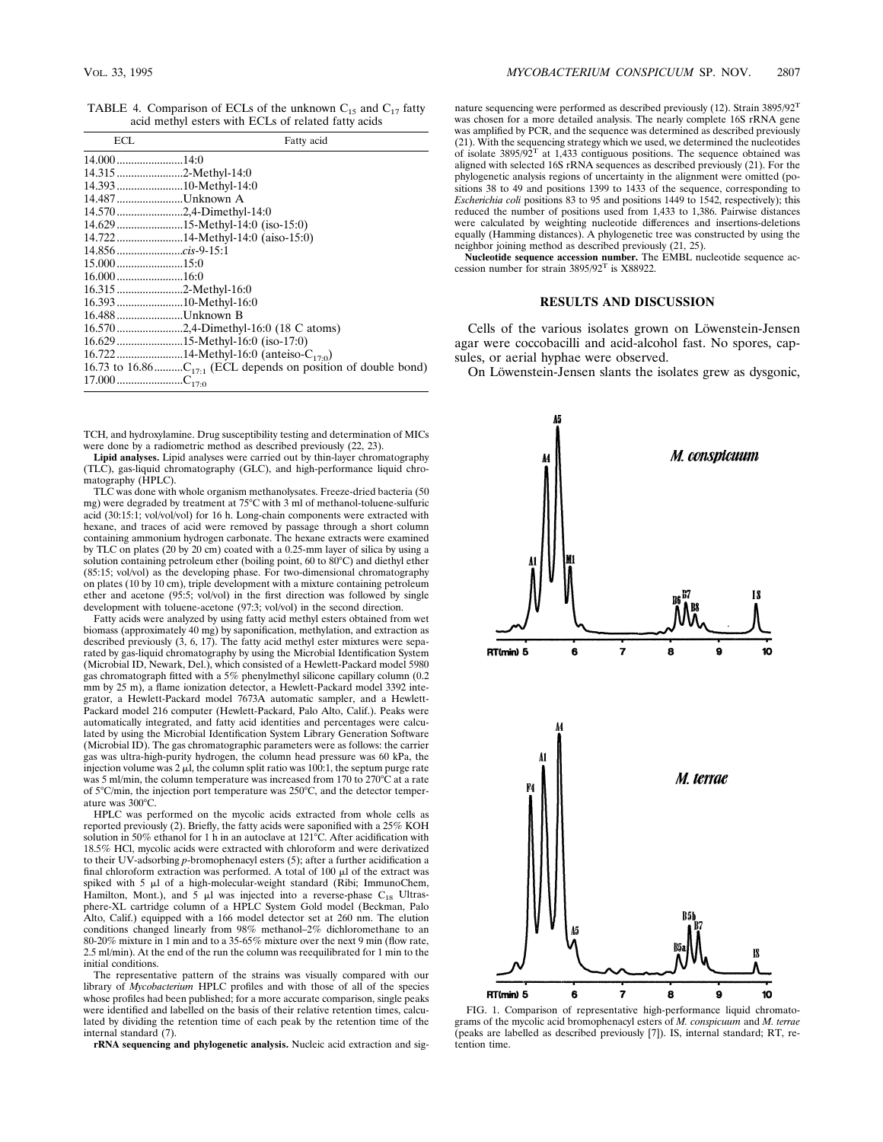TABLE 4. Comparison of ECLs of the unknown  $C_{15}$  and  $C_{17}$  fatty acid methyl esters with ECLs of related fatty acids

| ECL                   | Fatty acid                           |
|-----------------------|--------------------------------------|
|                       |                                      |
| 14.3152-Methyl-14:0   |                                      |
| 14.393 10-Methyl-14:0 |                                      |
| 14.487 Unknown A      |                                      |
|                       |                                      |
|                       | 14.629 15-Methyl-14:0 (iso-15:0)     |
|                       |                                      |
|                       |                                      |
|                       |                                      |
| $16.000$ 16:0         |                                      |
| 16.315 2-Methyl-16:0  |                                      |
| 16.39310-Methyl-16:0  |                                      |
| 16.488Unknown B       |                                      |
|                       | 16.5702,4-Dimethyl-16:0 (18 C atoms) |
|                       | 16.629 15-Methyl-16:0 (iso-17:0)     |
|                       |                                      |
|                       |                                      |
|                       |                                      |

TCH, and hydroxylamine. Drug susceptibility testing and determination of MICs were done by a radiometric method as described previously (22, 23).

**Lipid analyses.** Lipid analyses were carried out by thin-layer chromatography (TLC), gas-liquid chromatography (GLC), and high-performance liquid chromatography (HPLC).

TLC was done with whole organism methanolysates. Freeze-dried bacteria (50 mg) were degraded by treatment at 75°C with 3 ml of methanol-toluene-sulfuric acid (30:15:1; vol/vol/vol) for 16 h. Long-chain components were extracted with hexane, and traces of acid were removed by passage through a short column containing ammonium hydrogen carbonate. The hexane extracts were examined by TLC on plates (20 by 20 cm) coated with a 0.25-mm layer of silica by using a solution containing petroleum ether (boiling point, 60 to 80°C) and diethyl ether (85:15; vol/vol) as the developing phase. For two-dimensional chromatography on plates (10 by 10 cm), triple development with a mixture containing petroleum ether and acetone (95:5; vol/vol) in the first direction was followed by single development with toluene-acetone (97:3; vol/vol) in the second direction.

Fatty acids were analyzed by using fatty acid methyl esters obtained from wet biomass (approximately 40 mg) by saponification, methylation, and extraction as described previously (3, 6, 17). The fatty acid methyl ester mixtures were separated by gas-liquid chromatography by using the Microbial Identification System (Microbial ID, Newark, Del.), which consisted of a Hewlett-Packard model 5980 gas chromatograph fitted with a 5% phenylmethyl silicone capillary column (0.2 mm by 25 m), a flame ionization detector, a Hewlett-Packard model 3392 integrator, a Hewlett-Packard model 7673A automatic sampler, and a Hewlett-Packard model 216 computer (Hewlett-Packard, Palo Alto, Calif.). Peaks were automatically integrated, and fatty acid identities and percentages were calculated by using the Microbial Identification System Library Generation Software (Microbial ID). The gas chromatographic parameters were as follows: the carrier gas was ultra-high-purity hydrogen, the column head pressure was 60 kPa, the injection volume was 2  $\mu$ l, the column split ratio was 100:1, the septum purge rate was 5 ml/min, the column temperature was increased from 170 to 270 $^{\circ}$ C at a rate of  $5^{\circ}$ C/min, the injection port temperature was 250 $^{\circ}$ C, and the detector temperature was 300°C.

HPLC was performed on the mycolic acids extracted from whole cells as reported previously (2). Briefly, the fatty acids were saponified with a 25% KOH solution in 50% ethanol for 1 h in an autoclave at  $121^{\circ}$ C. After acidification with 18.5% HCl, mycolic acids were extracted with chloroform and were derivatized to their UV-adsorbing *p*-bromophenacyl esters (5); after a further acidification a final chloroform extraction was performed. A total of 100  $\mu$ l of the extract was spiked with 5  $\mu$ l of a high-molecular-weight standard (Ribi; ImmunoChem, Hamilton, Mont.), and  $5 \mu l$  was injected into a reverse-phase C<sub>18</sub> Ultrasphere-XL cartridge column of a HPLC System Gold model (Beckman, Palo Alto, Calif.) equipped with a 166 model detector set at 260 nm. The elution conditions changed linearly from 98% methanol–2% dichloromethane to an 80-20% mixture in 1 min and to a 35-65% mixture over the next 9 min (flow rate, 2.5 ml/min). At the end of the run the column was reequilibrated for 1 min to the initial conditions.

The representative pattern of the strains was visually compared with our library of *Mycobacterium* HPLC profiles and with those of all of the species whose profiles had been published; for a more accurate comparison, single peaks were identified and labelled on the basis of their relative retention times, calculated by dividing the retention time of each peak by the retention time of the internal standard (7).

**rRNA sequencing and phylogenetic analysis.** Nucleic acid extraction and sig-

nature sequencing were performed as described previously (12). Strain 3895/92T was chosen for a more detailed analysis. The nearly complete 16S rRNA gene was amplified by PCR, and the sequence was determined as described previously (21). With the sequencing strategy which we used, we determined the nucleotides of isolate  $3895/92$ <sup>T</sup> at 1,433 contiguous positions. The sequence obtained was aligned with selected 16S rRNA sequences as described previously (21). For the phylogenetic analysis regions of uncertainty in the alignment were omitted (po-sitions 38 to 49 and positions 1399 to 1433 of the sequence, corresponding to *Escherichia coli* positions 83 to 95 and positions 1449 to 1542, respectively); this reduced the number of positions used from 1,433 to 1,386. Pairwise distances were calculated by weighting nucleotide differences and insertions-deletions equally (Hamming distances). A phylogenetic tree was constructed by using the neighbor joining method as described previously (21, 25).

**Nucleotide sequence accession number.** The EMBL nucleotide sequence accession number for strain 3895/92T is X88922.

## **RESULTS AND DISCUSSION**

Cells of the various isolates grown on Löwenstein-Jensen agar were coccobacilli and acid-alcohol fast. No spores, capsules, or aerial hyphae were observed.

On Löwenstein-Jensen slants the isolates grew as dysgonic,



FIG. 1. Comparison of representative high-performance liquid chromatograms of the mycolic acid bromophenacyl esters of *M. conspicuum* and *M. terrae* (peaks are labelled as described previously [7]). IS, internal standard; RT, retention time.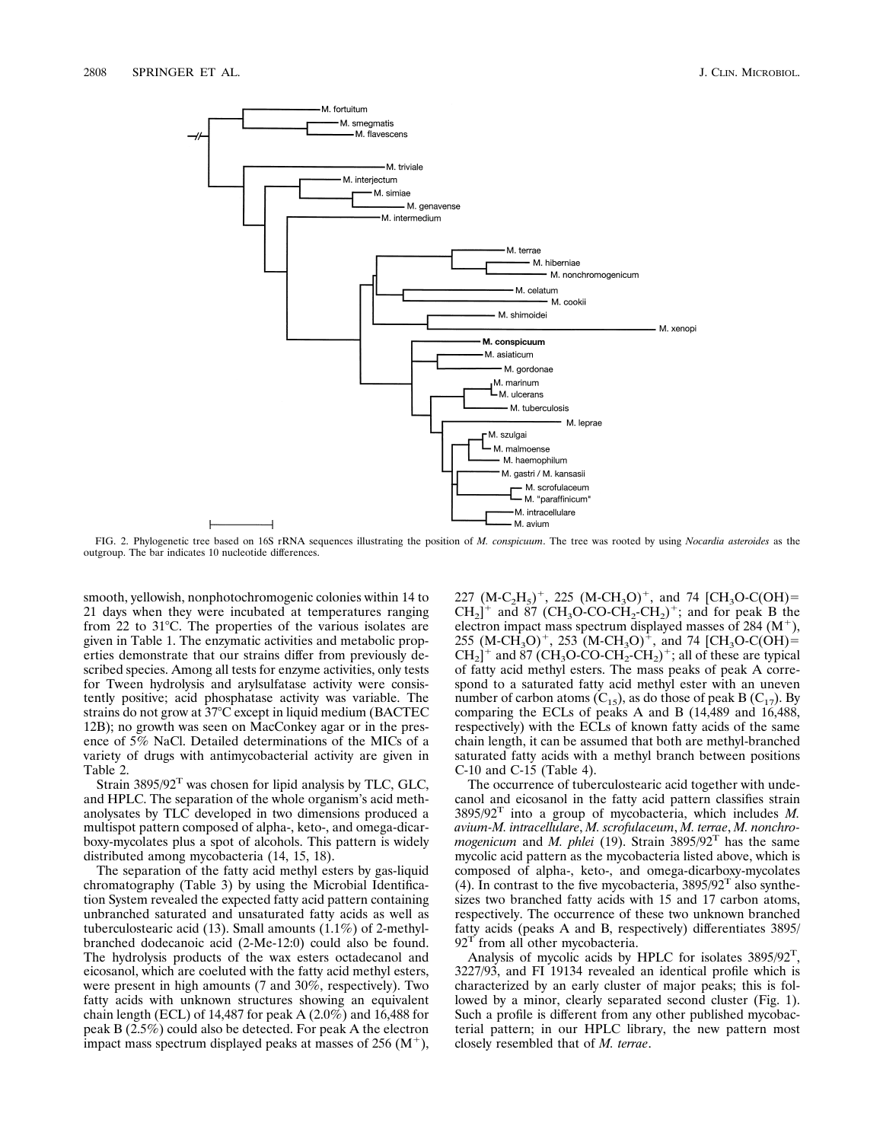

FIG. 2. Phylogenetic tree based on 16S rRNA sequences illustrating the position of *M. conspicuum*. The tree was rooted by using *Nocardia asteroides* as the outgroup. The bar indicates 10 nucleotide differences.

smooth, yellowish, nonphotochromogenic colonies within 14 to 21 days when they were incubated at temperatures ranging from 22 to  $31^{\circ}$ C. The properties of the various isolates are given in Table 1. The enzymatic activities and metabolic properties demonstrate that our strains differ from previously described species. Among all tests for enzyme activities, only tests for Tween hydrolysis and arylsulfatase activity were consistently positive; acid phosphatase activity was variable. The strains do not grow at 37°C except in liquid medium (BACTEC 12B); no growth was seen on MacConkey agar or in the presence of 5% NaCl. Detailed determinations of the MICs of a variety of drugs with antimycobacterial activity are given in Table 2.

Strain  $3895/92$ <sup>T</sup> was chosen for lipid analysis by TLC, GLC, and HPLC. The separation of the whole organism's acid methanolysates by TLC developed in two dimensions produced a multispot pattern composed of alpha-, keto-, and omega-dicarboxy-mycolates plus a spot of alcohols. This pattern is widely distributed among mycobacteria (14, 15, 18).

The separation of the fatty acid methyl esters by gas-liquid chromatography (Table 3) by using the Microbial Identification System revealed the expected fatty acid pattern containing unbranched saturated and unsaturated fatty acids as well as tuberculostearic acid (13). Small amounts (1.1%) of 2-methylbranched dodecanoic acid (2-Me-12:0) could also be found. The hydrolysis products of the wax esters octadecanol and eicosanol, which are coeluted with the fatty acid methyl esters, were present in high amounts (7 and 30%, respectively). Two fatty acids with unknown structures showing an equivalent chain length (ECL) of 14,487 for peak A (2.0%) and 16,488 for peak B (2.5%) could also be detected. For peak A the electron impact mass spectrum displayed peaks at masses of  $256 \, (M^+),$ 

227 (M-C<sub>2</sub>H<sub>5</sub>)<sup>+</sup>, 225 (M-CH<sub>3</sub>O)<sup>+</sup>, and 74 [CH<sub>3</sub>O-C(OH)=  $CH_2$ <sup>+</sup> and 87 (CH<sub>3</sub>O-CO-CH<sub>2</sub>-CH<sub>2</sub>)<sup>+</sup>; and for peak B the electron impact mass spectrum displayed masses of 284  $(M^+),$ 255 (M-CH<sub>3</sub>O)<sup>+</sup>, 253 (M-CH<sub>3</sub>O)<sup>+</sup>, and 74 [CH<sub>3</sub>O-C(OH)=  $CH_2$ <sup>+</sup> and 87 (CH<sub>3</sub>O-CO-CH<sub>2</sub>-CH<sub>2</sub>)<sup>+</sup>; all of these are typical of fatty acid methyl esters. The mass peaks of peak A correspond to a saturated fatty acid methyl ester with an uneven number of carbon atoms  $(C_{15})$ , as do those of peak B  $(C_{17})$ . By comparing the ECLs of peaks A and B (14,489 and 16,488, respectively) with the ECLs of known fatty acids of the same chain length, it can be assumed that both are methyl-branched saturated fatty acids with a methyl branch between positions C-10 and C-15 (Table 4).

The occurrence of tuberculostearic acid together with undecanol and eicosanol in the fatty acid pattern classifies strain 3895/92T into a group of mycobacteria, which includes *M. avium-M. intracellulare*, *M. scrofulaceum*, *M. terrae*, *M. nonchromogenicum* and *M. phlei* (19). Strain 3895/92T has the same mycolic acid pattern as the mycobacteria listed above, which is composed of alpha-, keto-, and omega-dicarboxy-mycolates (4). In contrast to the five mycobacteria,  $3895/92<sup>T</sup>$  also synthesizes two branched fatty acids with 15 and 17 carbon atoms, respectively. The occurrence of these two unknown branched fatty acids (peaks A and B, respectively) differentiates 3895/  $92<sup>T</sup>$  from all other mycobacteria.

Analysis of mycolic acids by HPLC for isolates 3895/92<sup>T</sup>, 3227/93, and FI 19134 revealed an identical profile which is characterized by an early cluster of major peaks; this is followed by a minor, clearly separated second cluster (Fig. 1). Such a profile is different from any other published mycobacterial pattern; in our HPLC library, the new pattern most closely resembled that of *M. terrae*.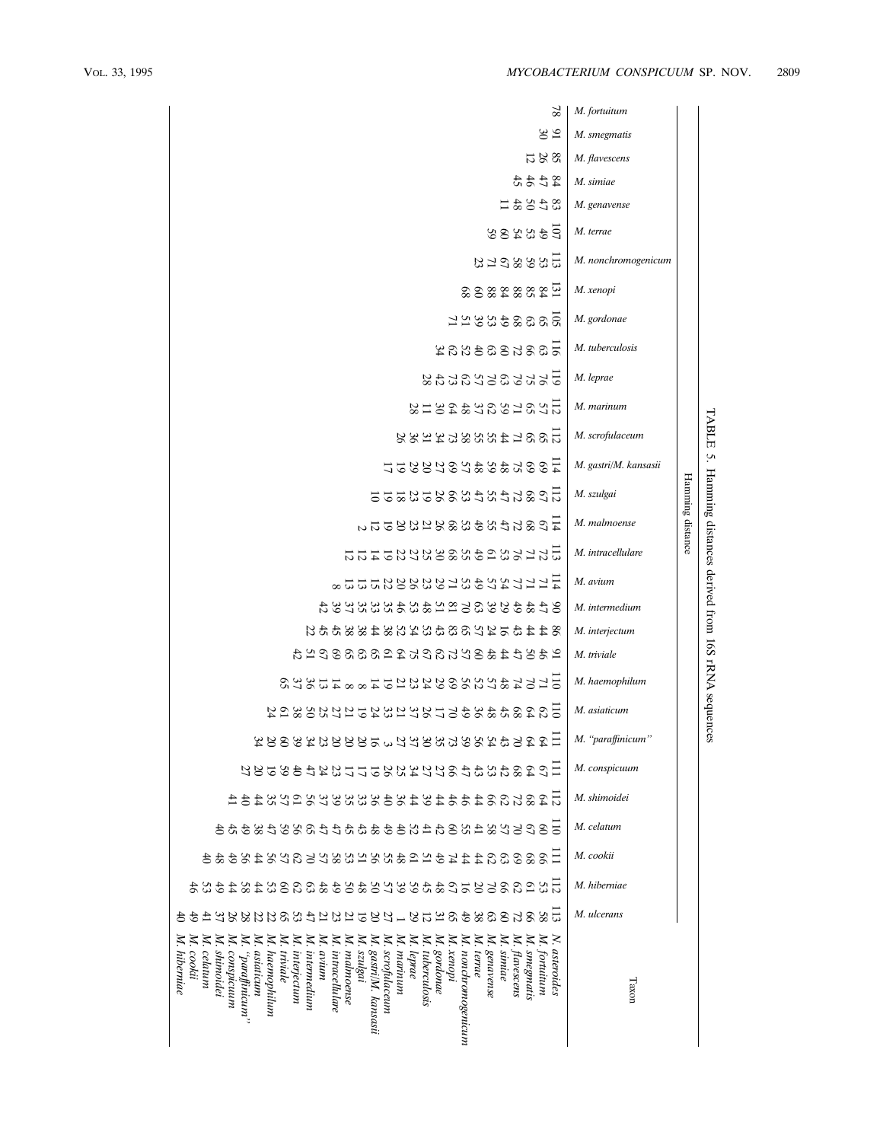TABLE

5.

Hamming

Hamming distance

distances

derived

from 16S

rRNA

sequences

| $^{82}$                                                                                                                                                                                                                                                                                                                                                                                                                                                                                                                                                                                                                                                                                | M. fortuitum          |
|----------------------------------------------------------------------------------------------------------------------------------------------------------------------------------------------------------------------------------------------------------------------------------------------------------------------------------------------------------------------------------------------------------------------------------------------------------------------------------------------------------------------------------------------------------------------------------------------------------------------------------------------------------------------------------------|-----------------------|
| $\frac{5}{20}$                                                                                                                                                                                                                                                                                                                                                                                                                                                                                                                                                                                                                                                                         | M. smegmatis          |
| 8261                                                                                                                                                                                                                                                                                                                                                                                                                                                                                                                                                                                                                                                                                   | M. flavescens         |
| 32444                                                                                                                                                                                                                                                                                                                                                                                                                                                                                                                                                                                                                                                                                  | M. simiae             |
| 32581                                                                                                                                                                                                                                                                                                                                                                                                                                                                                                                                                                                                                                                                                  | M. genavense          |
| 533355                                                                                                                                                                                                                                                                                                                                                                                                                                                                                                                                                                                                                                                                                 | M. terrae             |
| 13.2888543                                                                                                                                                                                                                                                                                                                                                                                                                                                                                                                                                                                                                                                                             | M. nonchromogenicum   |
| $\frac{11}{22}$ $\frac{2882280}{2222}$                                                                                                                                                                                                                                                                                                                                                                                                                                                                                                                                                                                                                                                 | M. xenopi             |
| 1228935855                                                                                                                                                                                                                                                                                                                                                                                                                                                                                                                                                                                                                                                                             | M. gordonae           |
| $\frac{1}{6}$ 885883832                                                                                                                                                                                                                                                                                                                                                                                                                                                                                                                                                                                                                                                                | M. tuberculosis       |
| 12523232332                                                                                                                                                                                                                                                                                                                                                                                                                                                                                                                                                                                                                                                                            | M. leprae             |
| $\frac{11}{22}$ $\frac{25}{28}$ $\frac{25}{28}$ $\frac{25}{28}$ $\frac{25}{28}$                                                                                                                                                                                                                                                                                                                                                                                                                                                                                                                                                                                                        | M. marinum            |
| 12681488854488                                                                                                                                                                                                                                                                                                                                                                                                                                                                                                                                                                                                                                                                         | M. scrofulaceum       |
| 13885332243327                                                                                                                                                                                                                                                                                                                                                                                                                                                                                                                                                                                                                                                                         | M. gastri/M. kansasii |
| 11682452488323252                                                                                                                                                                                                                                                                                                                                                                                                                                                                                                                                                                                                                                                                      | M. szulgai            |
| $\frac{1}{4}$ C& $5$ t $2$ X $3$ X $8$ X $2$ X $3$ X $3$ $3$ $3$ $3$ $3$ $3$                                                                                                                                                                                                                                                                                                                                                                                                                                                                                                                                                                                                           | M. malmoense          |
| 1127666468884589444                                                                                                                                                                                                                                                                                                                                                                                                                                                                                                                                                                                                                                                                    | M. intracellulare     |
| 17552232533433377723                                                                                                                                                                                                                                                                                                                                                                                                                                                                                                                                                                                                                                                                   | M. avium              |
| 9年44586万年548548355934                                                                                                                                                                                                                                                                                                                                                                                                                                                                                                                                                                                                                                                                  | M. intermedium        |
| 82446122688482383483455                                                                                                                                                                                                                                                                                                                                                                                                                                                                                                                                                                                                                                                                | M. interjectum        |
| 2 おいけはおのけたのけたはいなののののなね                                                                                                                                                                                                                                                                                                                                                                                                                                                                                                                                                                                                                                                                 | M. triviale           |
| $E$ 12233233888242312488888                                                                                                                                                                                                                                                                                                                                                                                                                                                                                                                                                                                                                                                            | M. haemophilum        |
| 58888\$\$\$\$\$\$\$\$\$\$\$\$\$\$\$\$\$\$\$\$                                                                                                                                                                                                                                                                                                                                                                                                                                                                                                                                                                                                                                          | M. asiaticum          |
| 且ははのおもないのでおのけなっているのはみののみみ                                                                                                                                                                                                                                                                                                                                                                                                                                                                                                                                                                                                                                                              | M. "paraffinicum"     |
| 28838458552388255344489555<br>$\mathfrak{S}$                                                                                                                                                                                                                                                                                                                                                                                                                                                                                                                                                                                                                                           | M. conspicuum         |
| は8568はおおおはおはあのおおめけるいなおはなは<br>$\overline{5}$                                                                                                                                                                                                                                                                                                                                                                                                                                                                                                                                                                                                                                            | M. shimoidei          |
| $\Xi$<br>665584566445444444566948444                                                                                                                                                                                                                                                                                                                                                                                                                                                                                                                                                                                                                                                   | M. celatum            |
| 99<br>88<br>68年446年68年8月8日8月8日19日10日10日10日10日10日                                                                                                                                                                                                                                                                                                                                                                                                                                                                                                                                                                                                                                       | M. cookii             |
| 33686685356\$\$\$\$\$\$\$\$\$\$\$\$\$\$\$\$\$\$\$\$\$\$\$\$                                                                                                                                                                                                                                                                                                                                                                                                                                                                                                                                                                                                                            | M. hiberniae          |
| E<br>$23.759 - 255234342288333344$<br>49<br>$\epsilon$<br>85<br>ස<br>288<br>4<br>ஜ                                                                                                                                                                                                                                                                                                                                                                                                                                                                                                                                                                                                     | M. ulcerans           |
| M.<br>$\mathbb{Z}$<br>$\mathbb{Z}$<br>$\mathbb{Z}$<br>$\mathbb{X}$<br>$\mathbb{Z}$<br>$\mathbb{X}$<br>$\mathbb{Z}$<br>$\mathbb{Z}$<br>$\mathbb{X}$<br>$\mathbb{X}$<br>Z.<br>Z.<br>Z<br>Z<br>Z<br>Þ.<br>N.<br>N.<br>N.<br>N.<br>z<br>z<br>z<br>z<br>Þ.<br>Z<br>≳<br>×.<br>smegmatis<br>szulgai<br>gastri/M. kansasü<br>scrofulaceum<br>xenopi<br>итсиотоветсти<br>simiae<br>asteroides<br>marinna<br>gordonae<br>genavense<br>cookii<br>astattcum<br>triviale<br>interjectum<br>$\mu$ $\mu$<br>intracellulare<br>malmoense<br>tuberculosis<br>terrae<br>flavescens<br>fortuitum<br>hibernae<br>shimoidei<br>іпіетедішт<br>eprae<br>celatum<br>conspicuum<br>``multiprad",<br>наеторнішт | $_{\rm TaxCI}$        |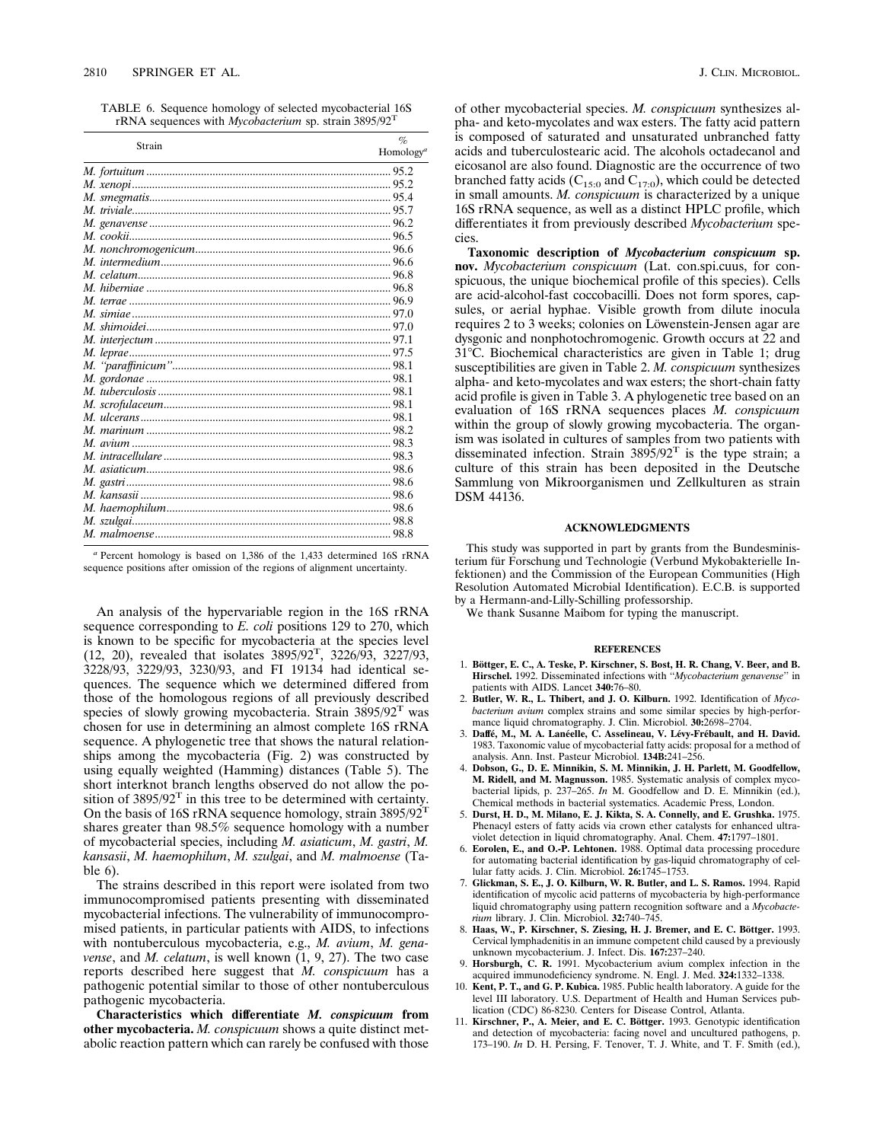TABLE 6. Sequence homology of selected mycobacterial 16S rRNA sequences with *Mycobacterium* sp. strain 3895/92<sup>T</sup>

| Strain | $\%$<br>Homology <sup>a</sup> |
|--------|-------------------------------|
|        |                               |
|        |                               |
|        |                               |
|        |                               |
|        |                               |
|        |                               |
|        |                               |
|        |                               |
|        |                               |
|        |                               |
|        |                               |
|        |                               |
|        |                               |
|        |                               |
|        |                               |
|        |                               |
|        |                               |
|        |                               |
|        |                               |
|        |                               |
|        |                               |
|        |                               |
|        |                               |
|        |                               |
|        |                               |
|        |                               |
|        |                               |
|        |                               |
|        |                               |

*<sup>a</sup>* Percent homology is based on 1,386 of the 1,433 determined 16S rRNA sequence positions after omission of the regions of alignment uncertainty.

An analysis of the hypervariable region in the 16S rRNA sequence corresponding to *E. coli* positions 129 to 270, which is known to be specific for mycobacteria at the species level (12, 20), revealed that isolates 3895/92<sup>T</sup> , 3226/93, 3227/93, 3228/93, 3229/93, 3230/93, and FI 19134 had identical sequences. The sequence which we determined differed from those of the homologous regions of all previously described species of slowly growing mycobacteria. Strain 3895/92<sup>T</sup> was chosen for use in determining an almost complete 16S rRNA sequence. A phylogenetic tree that shows the natural relationships among the mycobacteria (Fig. 2) was constructed by using equally weighted (Hamming) distances (Table 5). The short interknot branch lengths observed do not allow the position of  $3895/92$ <sup>T</sup> in this tree to be determined with certainty. On the basis of 16S rRNA sequence homology, strain  $3895/92^T$ shares greater than 98.5% sequence homology with a number of mycobacterial species, including *M. asiaticum*, *M. gastri*, *M. kansasii*, *M. haemophilum*, *M. szulgai*, and *M. malmoense* (Table 6).

The strains described in this report were isolated from two immunocompromised patients presenting with disseminated mycobacterial infections. The vulnerability of immunocompromised patients, in particular patients with AIDS, to infections with nontuberculous mycobacteria, e.g., *M. avium*, *M. genavense*, and *M. celatum*, is well known (1, 9, 27). The two case reports described here suggest that *M. conspicuum* has a pathogenic potential similar to those of other nontuberculous pathogenic mycobacteria.

**Characteristics which differentiate** *M. conspicuum* **from other mycobacteria.** *M. conspicuum* shows a quite distinct metabolic reaction pattern which can rarely be confused with those

of other mycobacterial species. *M. conspicuum* synthesizes alpha- and keto-mycolates and wax esters. The fatty acid pattern is composed of saturated and unsaturated unbranched fatty acids and tuberculostearic acid. The alcohols octadecanol and eicosanol are also found. Diagnostic are the occurrence of two branched fatty acids ( $C_{15:0}$  and  $C_{17:0}$ ), which could be detected in small amounts. *M. conspicuum* is characterized by a unique 16S rRNA sequence, as well as a distinct HPLC profile, which differentiates it from previously described *Mycobacterium* species.

**Taxonomic description of** *Mycobacterium conspicuum* **sp. nov.** *Mycobacterium conspicuum* (Lat. con.spi.cuus, for conspicuous, the unique biochemical profile of this species). Cells are acid-alcohol-fast coccobacilli. Does not form spores, capsules, or aerial hyphae. Visible growth from dilute inocula requires 2 to 3 weeks; colonies on Löwenstein-Jensen agar are dysgonic and nonphotochromogenic. Growth occurs at 22 and 31<sup>°</sup>C. Biochemical characteristics are given in Table 1; drug susceptibilities are given in Table 2. *M. conspicuum* synthesizes alpha- and keto-mycolates and wax esters; the short-chain fatty acid profile is given in Table 3. A phylogenetic tree based on an evaluation of 16S rRNA sequences places *M. conspicuum* within the group of slowly growing mycobacteria. The organism was isolated in cultures of samples from two patients with disseminated infection. Strain  $3895/92$ <sup>T</sup> is the type strain; a culture of this strain has been deposited in the Deutsche Sammlung von Mikroorganismen und Zellkulturen as strain DSM 44136.

### **ACKNOWLEDGMENTS**

This study was supported in part by grants from the Bundesministerium für Forschung und Technologie (Verbund Mykobakterielle Infektionen) and the Commission of the European Communities (High Resolution Automated Microbial Identification). E.C.B. is supported by a Hermann-and-Lilly-Schilling professorship.

We thank Susanne Maibom for typing the manuscript.

#### **REFERENCES**

- 1. **Bo¨ttger, E. C., A. Teske, P. Kirschner, S. Bost, H. R. Chang, V. Beer, and B. Hirschel.** 1992. Disseminated infections with ''*Mycobacterium genavense*'' in patients with AIDS. Lancet **340:**76–80.
- 2. **Butler, W. R., L. Thibert, and J. O. Kilburn.** 1992. Identification of *Mycobacterium avium* complex strains and some similar species by high-performance liquid chromatography. J. Clin. Microbiol. **30:**2698–2704.
- 3. Daffé, M., M. A. Lanéelle, C. Asselineau, V. Lévy-Frébault, and H. David. 1983. Taxonomic value of mycobacterial fatty acids: proposal for a method of analysis. Ann. Inst. Pasteur Microbiol. **134B:**241–256.
- 4. **Dobson, G., D. E. Minnikin, S. M. Minnikin, J. H. Parlett, M. Goodfellow, M. Ridell, and M. Magnusson.** 1985. Systematic analysis of complex mycobacterial lipids, p. 237–265. *In* M. Goodfellow and D. E. Minnikin (ed.), Chemical methods in bacterial systematics. Academic Press, London.
- 5. **Durst, H. D., M. Milano, E. J. Kikta, S. A. Connelly, and E. Grushka.** 1975. Phenacyl esters of fatty acids via crown ether catalysts for enhanced ultraviolet detection in liquid chromatography. Anal. Chem. **47:**1797–1801.
- 6. **Eorolen, E., and O.-P. Lehtonen.** 1988. Optimal data processing procedure for automating bacterial identification by gas-liquid chromatography of cel-lular fatty acids. J. Clin. Microbiol. **26:**1745–1753.
- 7. **Glickman, S. E., J. O. Kilburn, W. R. Butler, and L. S. Ramos.** 1994. Rapid identification of mycolic acid patterns of mycobacteria by high-performance liquid chromatography using pattern recognition software and a *Mycobacterium* library. J. Clin. Microbiol. **32:**740–745.
- 8. Haas, W., P. Kirschner, S. Ziesing, H. J. Bremer, and E. C. Böttger. 1993. Cervical lymphadenitis in an immune competent child caused by a previously unknown mycobacterium. J. Infect. Dis. **167:**237–240.
- 9. **Horsburgh, C. R.** 1991. Mycobacterium avium complex infection in the acquired immunodeficiency syndrome. N. Engl. J. Med. **324:**1332–1338.
- 10. **Kent, P. T., and G. P. Kubica.** 1985. Public health laboratory. A guide for the level III laboratory. U.S. Department of Health and Human Services pub-lication (CDC) 86-8230. Centers for Disease Control, Atlanta.
- 11. Kirschner, P., A. Meier, and E. C. Böttger. 1993. Genotypic identification and detection of mycobacteria: facing novel and uncultured pathogens, p. 173–190. *In* D. H. Persing, F. Tenover, T. J. White, and T. F. Smith (ed.),